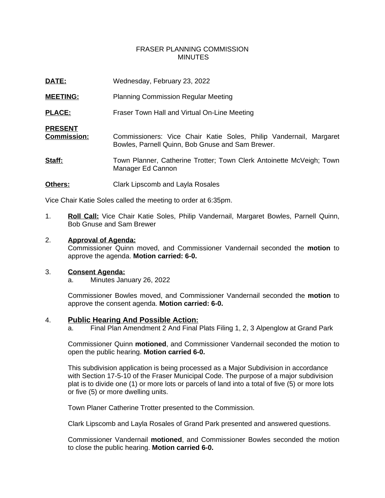# FRASER PLANNING COMMISSION **MINUTES**

| DATE:                                | Wednesday, February 23, 2022                                                                                           |
|--------------------------------------|------------------------------------------------------------------------------------------------------------------------|
| <b>MEETING:</b>                      | <b>Planning Commission Regular Meeting</b>                                                                             |
| <b>PLACE:</b>                        | Fraser Town Hall and Virtual On-Line Meeting                                                                           |
| <b>PRESENT</b><br><b>Commission:</b> | Commissioners: Vice Chair Katie Soles, Philip Vandernail, Margaret<br>Bowles, Parnell Quinn, Bob Gnuse and Sam Brewer. |
| Staff:                               | Town Planner, Catherine Trotter; Town Clerk Antoinette McVeigh; Town<br>Manager Ed Cannon                              |
| Others:                              | Clark Lipscomb and Layla Rosales                                                                                       |

Vice Chair Katie Soles called the meeting to order at 6:35pm.

1. **Roll Call:** Vice Chair Katie Soles, Philip Vandernail, Margaret Bowles, Parnell Quinn, Bob Gnuse and Sam Brewer

#### 2. **Approval of Agenda:**

Commissioner Quinn moved, and Commissioner Vandernail seconded the **motion** to approve the agenda. **Motion carried: 6-0.**

#### 3. **Consent Agenda:**

a. Minutes January 26, 2022

Commissioner Bowles moved, and Commissioner Vandernail seconded the **motion** to approve the consent agenda. **Motion carried: 6-0.**

## 4. **Public Hearing And Possible Action:**

a. Final Plan Amendment 2 And Final Plats Filing 1, 2, 3 Alpenglow at Grand Park

Commissioner Quinn **motioned**, and Commissioner Vandernail seconded the motion to open the public hearing. **Motion carried 6-0.**

This subdivision application is being processed as a Major Subdivision in accordance with Section 17-5-10 of the Fraser Municipal Code. The purpose of a major subdivision plat is to divide one (1) or more lots or parcels of land into a total of five (5) or more lots or five (5) or more dwelling units.

Town Planer Catherine Trotter presented to the Commission.

Clark Lipscomb and Layla Rosales of Grand Park presented and answered questions.

Commissioner Vandernail **motioned**, and Commissioner Bowles seconded the motion to close the public hearing. **Motion carried 6-0.**